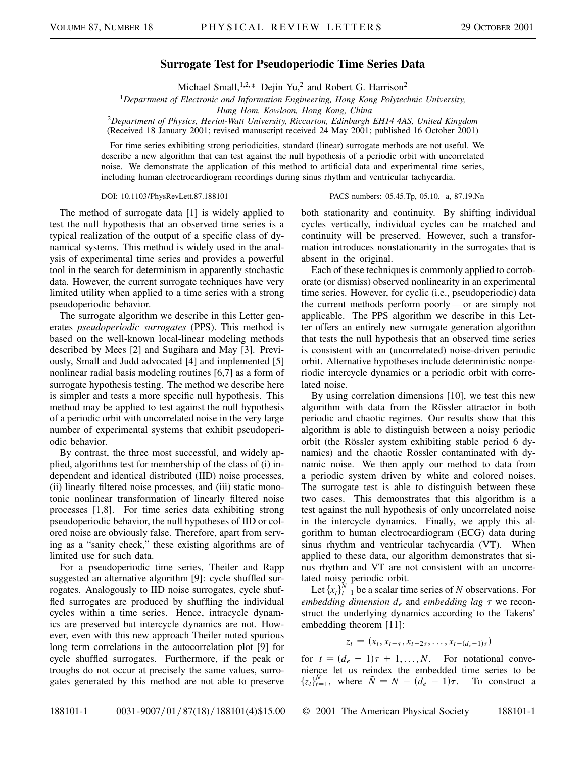## **Surrogate Test for Pseudoperiodic Time Series Data**

Michael Small,<sup>1,2,\*</sup> Dejin Yu,<sup>2</sup> and Robert G. Harrison<sup>2</sup>

<sup>1</sup>*Department of Electronic and Information Engineering, Hong Kong Polytechnic University,*

*Hung Hom, Kowloon, Hong Kong, China*

<sup>2</sup>*Department of Physics, Heriot-Watt University, Riccarton, Edinburgh EH14 4AS, United Kingdom* (Received 18 January 2001; revised manuscript received 24 May 2001; published 16 October 2001)

For time series exhibiting strong periodicities, standard (linear) surrogate methods are not useful. We describe a new algorithm that can test against the null hypothesis of a periodic orbit with uncorrelated noise. We demonstrate the application of this method to artificial data and experimental time series, including human electrocardiogram recordings during sinus rhythm and ventricular tachycardia.

## DOI: 10.1103/PhysRevLett.87.188101 PACS numbers: 05.45.Tp, 05.10.–a, 87.19.Nn

The method of surrogate data [1] is widely applied to test the null hypothesis that an observed time series is a typical realization of the output of a specific class of dynamical systems. This method is widely used in the analysis of experimental time series and provides a powerful tool in the search for determinism in apparently stochastic data. However, the current surrogate techniques have very limited utility when applied to a time series with a strong pseudoperiodic behavior.

The surrogate algorithm we describe in this Letter generates *pseudoperiodic surrogates* (PPS). This method is based on the well-known local-linear modeling methods described by Mees [2] and Sugihara and May [3]. Previously, Small and Judd advocated [4] and implemented [5] nonlinear radial basis modeling routines [6,7] as a form of surrogate hypothesis testing. The method we describe here is simpler and tests a more specific null hypothesis. This method may be applied to test against the null hypothesis of a periodic orbit with uncorrelated noise in the very large number of experimental systems that exhibit pseudoperiodic behavior.

By contrast, the three most successful, and widely applied, algorithms test for membership of the class of (i) independent and identical distributed (IID) noise processes, (ii) linearly filtered noise processes, and (iii) static monotonic nonlinear transformation of linearly filtered noise processes [1,8]. For time series data exhibiting strong pseudoperiodic behavior, the null hypotheses of IID or colored noise are obviously false. Therefore, apart from serving as a "sanity check," these existing algorithms are of limited use for such data.

For a pseudoperiodic time series, Theiler and Rapp suggested an alternative algorithm [9]: cycle shuffled surrogates. Analogously to IID noise surrogates, cycle shuffled surrogates are produced by shuffling the individual cycles within a time series. Hence, intracycle dynamics are preserved but intercycle dynamics are not. However, even with this new approach Theiler noted spurious long term correlations in the autocorrelation plot [9] for cycle shuffled surrogates. Furthermore, if the peak or troughs do not occur at precisely the same values, surrogates generated by this method are not able to preserve both stationarity and continuity. By shifting individual cycles vertically, individual cycles can be matched and continuity will be preserved. However, such a transformation introduces nonstationarity in the surrogates that is absent in the original.

Each of these techniques is commonly applied to corroborate (or dismiss) observed nonlinearity in an experimental time series. However, for cyclic (i.e., pseudoperiodic) data the current methods perform poorly —or are simply not applicable. The PPS algorithm we describe in this Letter offers an entirely new surrogate generation algorithm that tests the null hypothesis that an observed time series is consistent with an (uncorrelated) noise-driven periodic orbit. Alternative hypotheses include deterministic nonperiodic intercycle dynamics or a periodic orbit with correlated noise.

By using correlation dimensions [10], we test this new algorithm with data from the Rössler attractor in both periodic and chaotic regimes. Our results show that this algorithm is able to distinguish between a noisy periodic orbit (the Rössler system exhibiting stable period 6 dynamics) and the chaotic Rössler contaminated with dynamic noise. We then apply our method to data from a periodic system driven by white and colored noises. The surrogate test is able to distinguish between these two cases. This demonstrates that this algorithm is a test against the null hypothesis of only uncorrelated noise in the intercycle dynamics. Finally, we apply this algorithm to human electrocardiogram (ECG) data during sinus rhythm and ventricular tachycardia (VT). When applied to these data, our algorithm demonstrates that sinus rhythm and VT are not consistent with an uncorrelated noisy periodic orbit.

Let  $\{x_t\}_{t=1}^N$  be a scalar time series of *N* observations. For *embedding dimension*  $d_e$  and *embedding* lag  $\tau$  we reconstruct the underlying dynamics according to the Takens' embedding theorem [11]:

$$
z_t = (x_t, x_{t-\tau}, x_{t-2\tau}, \ldots, x_{t-(d_e-1)\tau})
$$

for  $t = (d_e - 1)\tau + 1, \ldots, N$ . For notational convenience let us reindex the embedded time series to be  $\{z_t\}_{t=1}^{\tilde{N}}$ , where  $\tilde{N} = N - (d_e - 1)\tau$ . To construct a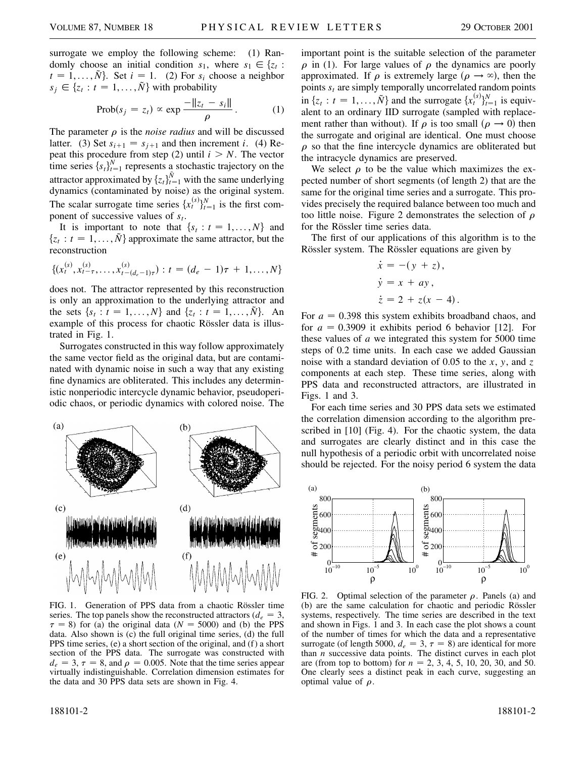surrogate we employ the following scheme: (1) Randomly choose an initial condition  $s_1$ , where  $s_1 \in \{z_t :$  $t = 1, ..., \tilde{N}$ . Set  $i = 1$ . (2) For  $s_i$  choose a neighbor  $s_j \in \{z_t : t = 1, ..., \tilde{N}\}\$  with probability

$$
\text{Prob}(s_j = z_t) \propto \exp \frac{-\|z_t - s_i\|}{\rho} \,. \tag{1}
$$

The parameter  $\rho$  is the *noise radius* and will be discussed latter. (3) Set  $s_{i+1} = s_{i+1}$  and then increment *i*. (4) Repeat this procedure from step (2) until  $i > N$ . The vector time series  ${s_t}_{t=1}^N$  represents a stochastic trajectory on the attractor approximated by  $\{z_t\}_{t=1}^{\tilde{N}}$  with the same underlying dynamics (contaminated by noise) as the original system. The scalar surrogate time series  $\{x_t^{(s)}\}_{t=1}^N$  is the first component of successive values of  $s_t$ .

It is important to note that  $\{s_t : t = 1, ..., N\}$  and  $\{z_t : t = 1, \ldots, \tilde{N}\}\$ approximate the same attractor, but the reconstruction

$$
\{(x_t^{(s)}, x_{t-\tau}^{(s)}, \ldots, x_{t-(d_e-1)\tau}^{(s)}) : t = (d_e - 1)\tau + 1, \ldots, N\}
$$

does not. The attractor represented by this reconstruction is only an approximation to the underlying attractor and the sets  $\{s_t : t = 1, ..., N\}$  and  $\{z_t : t = 1, ..., \tilde{N}\}$ . An example of this process for chaotic Rössler data is illustrated in Fig. 1.

Surrogates constructed in this way follow approximately the same vector field as the original data, but are contaminated with dynamic noise in such a way that any existing fine dynamics are obliterated. This includes any deterministic nonperiodic intercycle dynamic behavior, pseudoperiodic chaos, or periodic dynamics with colored noise. The

 $\left( a\right)$  $(b)$  $(c)$  $(d)$  $(e)$  $(f)$ 

FIG. 1. Generation of PPS data from a chaotic Rössler time series. The top panels show the reconstructed attractors  $(d_e = 3,$  $\tau = 8$ ) for (a) the original data ( $N = 5000$ ) and (b) the PPS data. Also shown is (c) the full original time series, (d) the full PPS time series, (e) a short section of the original, and (f) a short section of the PPS data. The surrogate was constructed with  $d_e = 3$ ,  $\tau = 8$ , and  $\rho = 0.005$ . Note that the time series appear virtually indistinguishable. Correlation dimension estimates for the data and 30 PPS data sets are shown in Fig. 4.

important point is the suitable selection of the parameter  $\rho$  in (1). For large values of  $\rho$  the dynamics are poorly approximated. If  $\rho$  is extremely large  $(\rho \rightarrow \infty)$ , then the points  $s_t$  are simply temporally uncorrelated random points in  $\{z_t : t = 1, ..., \tilde{N}\}\$ and the surrogate  $\{x_t^{(s)}\}_{t=1}^N$  is equivalent to an ordinary IID surrogate (sampled with replacement rather than without). If  $\rho$  is too small  $(\rho \to 0)$  then the surrogate and original are identical. One must choose  $\rho$  so that the fine intercycle dynamics are obliterated but the intracycle dynamics are preserved.

We select  $\rho$  to be the value which maximizes the expected number of short segments (of length 2) that are the same for the original time series and a surrogate. This provides precisely the required balance between too much and too little noise. Figure 2 demonstrates the selection of  $\rho$ for the Rössler time series data.

The first of our applications of this algorithm is to the Rössler system. The Rössler equations are given by

$$
\dot{x} = -(y + z),
$$
  
\n
$$
\dot{y} = x + ay,
$$
  
\n
$$
\dot{z} = 2 + z(x - 4).
$$

For  $a = 0.398$  this system exhibits broadband chaos, and for  $a = 0.3909$  it exhibits period 6 behavior [12]. For these values of *a* we integrated this system for 5000 time steps of 0.2 time units. In each case we added Gaussian noise with a standard deviation of 0.05 to the *x*, *y*, and *z* components at each step. These time series, along with PPS data and reconstructed attractors, are illustrated in Figs. 1 and 3.

For each time series and 30 PPS data sets we estimated the correlation dimension according to the algorithm prescribed in [10] (Fig. 4). For the chaotic system, the data and surrogates are clearly distinct and in this case the null hypothesis of a periodic orbit with uncorrelated noise should be rejected. For the noisy period 6 system the data



FIG. 2. Optimal selection of the parameter  $\rho$ . Panels (a) and (b) are the same calculation for chaotic and periodic Rössler systems, respectively. The time series are described in the text and shown in Figs. 1 and 3. In each case the plot shows a count of the number of times for which the data and a representative surrogate (of length 5000,  $d_e = 3$ ,  $\tau = 8$ ) are identical for more than *n* successive data points. The distinct curves in each plot are (from top to bottom) for  $n = 2, 3, 4, 5, 10, 20, 30,$  and 50. One clearly sees a distinct peak in each curve, suggesting an optimal value of  $\rho$ .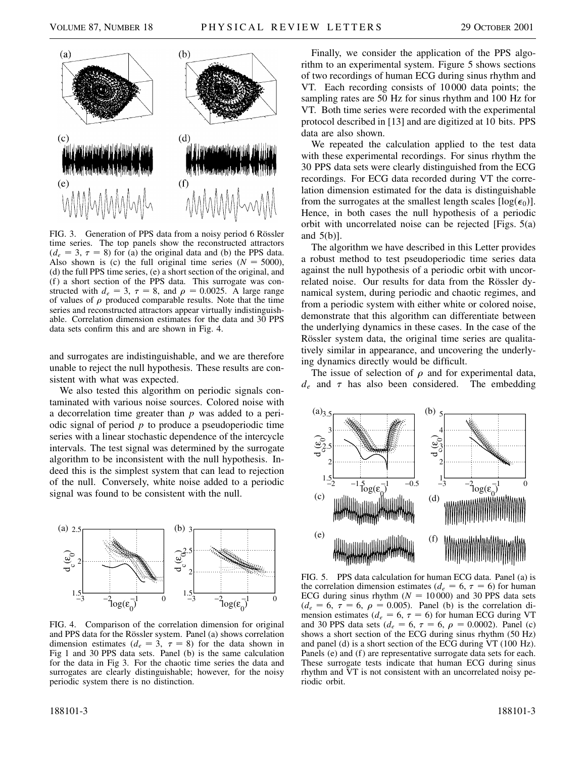

FIG. 3. Generation of PPS data from a noisy period 6 Rössler time series. The top panels show the reconstructed attractors  $(d_e = 3, \tau = 8)$  for (a) the original data and (b) the PPS data. Also shown is (c) the full original time series  $(N = 5000)$ , (d) the full PPS time series, (e) a short section of the original, and (f) a short section of the PPS data. This surrogate was constructed with  $d_e = 3$ ,  $\tau = 8$ , and  $\rho = 0.0025$ . A large range of values of  $\rho$  produced comparable results. Note that the time series and reconstructed attractors appear virtually indistinguishable. Correlation dimension estimates for the data and 30 PPS data sets confirm this and are shown in Fig. 4.

and surrogates are indistinguishable, and we are therefore unable to reject the null hypothesis. These results are consistent with what was expected.

We also tested this algorithm on periodic signals contaminated with various noise sources. Colored noise with a decorrelation time greater than *p* was added to a periodic signal of period *p* to produce a pseudoperiodic time series with a linear stochastic dependence of the intercycle intervals. The test signal was determined by the surrogate algorithm to be inconsistent with the null hypothesis. Indeed this is the simplest system that can lead to rejection of the null. Conversely, white noise added to a periodic signal was found to be consistent with the null.



FIG. 4. Comparison of the correlation dimension for original and PPS data for the Rössler system. Panel (a) shows correlation dimension estimates ( $d_e = 3$ ,  $\tau = 8$ ) for the data shown in Fig 1 and 30 PPS data sets. Panel (b) is the same calculation for the data in Fig 3. For the chaotic time series the data and surrogates are clearly distinguishable; however, for the noisy periodic system there is no distinction.

Finally, we consider the application of the PPS algorithm to an experimental system. Figure 5 shows sections of two recordings of human ECG during sinus rhythm and VT. Each recording consists of 10 000 data points; the sampling rates are 50 Hz for sinus rhythm and 100 Hz for VT. Both time series were recorded with the experimental protocol described in [13] and are digitized at 10 bits. PPS data are also shown.

We repeated the calculation applied to the test data with these experimental recordings. For sinus rhythm the 30 PPS data sets were clearly distinguished from the ECG recordings. For ECG data recorded during VT the correlation dimension estimated for the data is distinguishable from the surrogates at the smallest length scales  $[\log(\epsilon_0)]$ . Hence, in both cases the null hypothesis of a periodic orbit with uncorrelated noise can be rejected [Figs. 5(a) and 5(b)].

The algorithm we have described in this Letter provides a robust method to test pseudoperiodic time series data against the null hypothesis of a periodic orbit with uncorrelated noise. Our results for data from the Rössler dynamical system, during periodic and chaotic regimes, and from a periodic system with either white or colored noise, demonstrate that this algorithm can differentiate between the underlying dynamics in these cases. In the case of the Rössler system data, the original time series are qualitatively similar in appearance, and uncovering the underlying dynamics directly would be difficult.

The issue of selection of  $\rho$  and for experimental data,  $d_e$  and  $\tau$  has also been considered. The embedding



FIG. 5. PPS data calculation for human ECG data. Panel (a) is the correlation dimension estimates ( $d_e = 6$ ,  $\tau = 6$ ) for human ECG during sinus rhythm  $(N = 10000)$  and 30 PPS data sets  $(d_e = 6, \tau = 6, \rho = 0.005)$ . Panel (b) is the correlation dimension estimates ( $d_e = 6$ ,  $\tau = 6$ ) for human ECG during VT and 30 PPS data sets ( $d_e = 6$ ,  $\tau = 6$ ,  $\rho = 0.0002$ ). Panel (c) shows a short section of the ECG during sinus rhythm (50 Hz) and panel (d) is a short section of the ECG during VT (100 Hz). Panels (e) and (f) are representative surrogate data sets for each. These surrogate tests indicate that human ECG during sinus rhythm and VT is not consistent with an uncorrelated noisy periodic orbit.